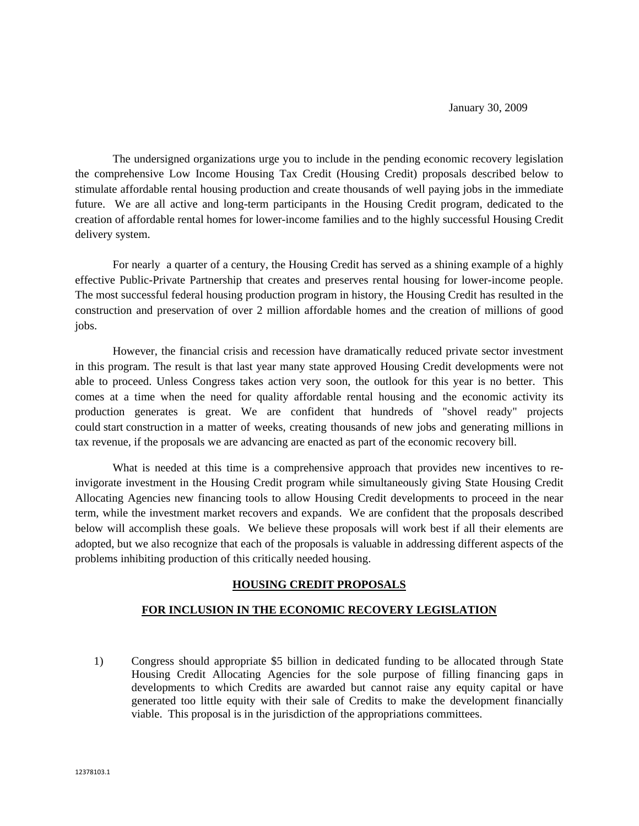The undersigned organizations urge you to include in the pending economic recovery legislation the comprehensive Low Income Housing Tax Credit (Housing Credit) proposals described below to stimulate affordable rental housing production and create thousands of well paying jobs in the immediate future. We are all active and long-term participants in the Housing Credit program, dedicated to the creation of affordable rental homes for lower-income families and to the highly successful Housing Credit delivery system.

For nearly a quarter of a century, the Housing Credit has served as a shining example of a highly effective Public-Private Partnership that creates and preserves rental housing for lower-income people. The most successful federal housing production program in history, the Housing Credit has resulted in the construction and preservation of over 2 million affordable homes and the creation of millions of good jobs.

However, the financial crisis and recession have dramatically reduced private sector investment in this program. The result is that last year many state approved Housing Credit developments were not able to proceed. Unless Congress takes action very soon, the outlook for this year is no better. This comes at a time when the need for quality affordable rental housing and the economic activity its production generates is great. We are confident that hundreds of "shovel ready" projects could start construction in a matter of weeks, creating thousands of new jobs and generating millions in tax revenue, if the proposals we are advancing are enacted as part of the economic recovery bill.

What is needed at this time is a comprehensive approach that provides new incentives to reinvigorate investment in the Housing Credit program while simultaneously giving State Housing Credit Allocating Agencies new financing tools to allow Housing Credit developments to proceed in the near term, while the investment market recovers and expands. We are confident that the proposals described below will accomplish these goals. We believe these proposals will work best if all their elements are adopted, but we also recognize that each of the proposals is valuable in addressing different aspects of the problems inhibiting production of this critically needed housing.

## **HOUSING CREDIT PROPOSALS**

## **FOR INCLUSION IN THE ECONOMIC RECOVERY LEGISLATION**

1) Congress should appropriate \$5 billion in dedicated funding to be allocated through State Housing Credit Allocating Agencies for the sole purpose of filling financing gaps in developments to which Credits are awarded but cannot raise any equity capital or have generated too little equity with their sale of Credits to make the development financially viable. This proposal is in the jurisdiction of the appropriations committees.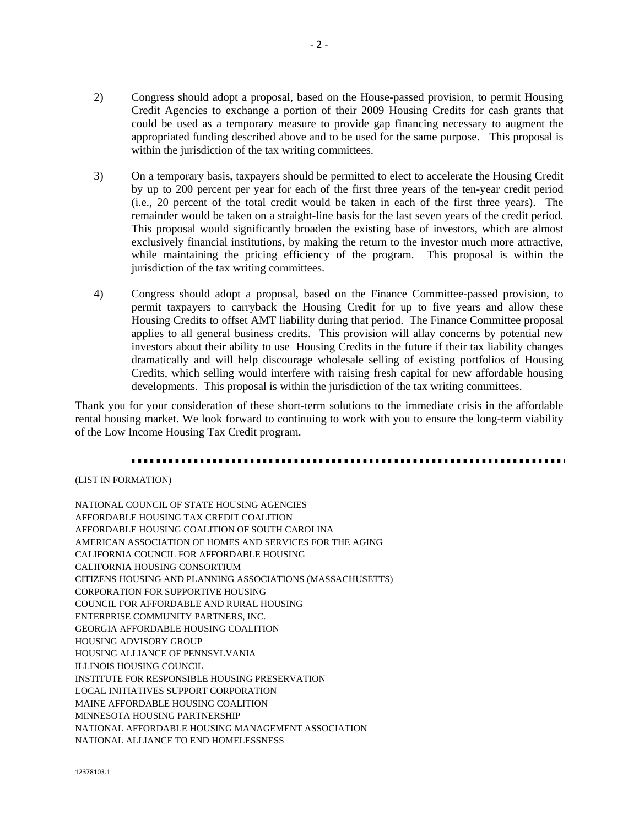- 2) Congress should adopt a proposal, based on the House-passed provision, to permit Housing Credit Agencies to exchange a portion of their 2009 Housing Credits for cash grants that could be used as a temporary measure to provide gap financing necessary to augment the appropriated funding described above and to be used for the same purpose. This proposal is within the jurisdiction of the tax writing committees.
- 3) On a temporary basis, taxpayers should be permitted to elect to accelerate the Housing Credit by up to 200 percent per year for each of the first three years of the ten-year credit period (i.e., 20 percent of the total credit would be taken in each of the first three years). The remainder would be taken on a straight-line basis for the last seven years of the credit period. This proposal would significantly broaden the existing base of investors, which are almost exclusively financial institutions, by making the return to the investor much more attractive, while maintaining the pricing efficiency of the program. This proposal is within the jurisdiction of the tax writing committees.
- 4) Congress should adopt a proposal, based on the Finance Committee-passed provision, to permit taxpayers to carryback the Housing Credit for up to five years and allow these Housing Credits to offset AMT liability during that period. The Finance Committee proposal applies to all general business credits. This provision will allay concerns by potential new investors about their ability to use Housing Credits in the future if their tax liability changes dramatically and will help discourage wholesale selling of existing portfolios of Housing Credits, which selling would interfere with raising fresh capital for new affordable housing developments. This proposal is within the jurisdiction of the tax writing committees.

Thank you for your consideration of these short-term solutions to the immediate crisis in the affordable rental housing market. We look forward to continuing to work with you to ensure the long-term viability of the Low Income Housing Tax Credit program.

## 

(LIST IN FORMATION)

NATIONAL COUNCIL OF STATE HOUSING AGENCIES AFFORDABLE HOUSING TAX CREDIT COALITION AFFORDABLE HOUSING COALITION OF SOUTH CAROLINA AMERICAN ASSOCIATION OF HOMES AND SERVICES FOR THE AGING CALIFORNIA COUNCIL FOR AFFORDABLE HOUSING CALIFORNIA HOUSING CONSORTIUM CITIZENS HOUSING AND PLANNING ASSOCIATIONS (MASSACHUSETTS) CORPORATION FOR SUPPORTIVE HOUSING COUNCIL FOR AFFORDABLE AND RURAL HOUSING ENTERPRISE COMMUNITY PARTNERS, INC. GEORGIA AFFORDABLE HOUSING COALITION HOUSING ADVISORY GROUP HOUSING ALLIANCE OF PENNSYLVANIA ILLINOIS HOUSING COUNCIL INSTITUTE FOR RESPONSIBLE HOUSING PRESERVATION LOCAL INITIATIVES SUPPORT CORPORATION MAINE AFFORDABLE HOUSING COALITION MINNESOTA HOUSING PARTNERSHIP NATIONAL AFFORDABLE HOUSING MANAGEMENT ASSOCIATION NATIONAL ALLIANCE TO END HOMELESSNESS